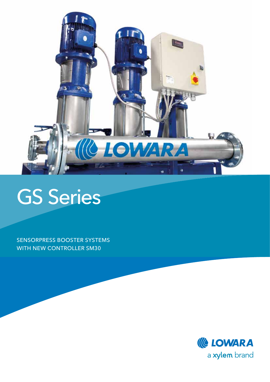

## GS Series

Sensorpress Booster Systems WITH NEW CONTROLLER SM30

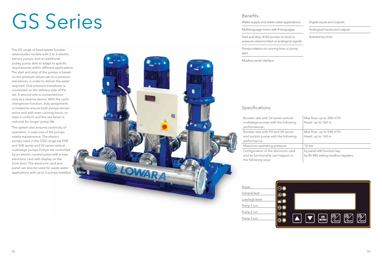# GS Series

The GS range of fixed speed booster setsincludes models with 2 to 3 electric service pumps, and an additional jockey pump able to adapt to specific requirements within different applications. The start and stop of the pumps is based on the pressure values set on a pressure transducer, in order to deliver the water required. One pressure transducer is connected on the delivery side of the set. A second one is connected but only as a reserve device. With the cyclic changeover function, duty assignment is rotated to ensure both pumps remain active and with even running hours, so wear is uniform and the use factor is reduced for longer pump life.

| <u>DUITUITU</u> .                                                                        |                               |
|------------------------------------------------------------------------------------------|-------------------------------|
| Water supply and waste water applications                                                | Digital inputs and outputs    |
| Multilanguage menu with 8 languages                                                      | Analogical inputs and outputs |
| Start and stop of the pumps on level or<br>pressure value (contact or analogical signal) | Autotest by timer             |
| Pumps rotation on running time or pump<br>start                                          |                               |

Booster sets with SV series verti multistage pumps with the follo performances:

Booster sets with FH and SH ser end suction pump with the follo performance:

Maximum operating pressure:

This system also ensures continuity of operation, in case one of the pumps needs maintenance. The electric pumps used in the GSD range are FHE and SHE series and SV series vertical multistage pumps.Pumps are controlled by an electric control panel with a new electronic card with display on the front door. The electronic card and panel can also be used for waste water applications with up to 3 pumps installed.



Configuration of the electronic and its functionality can happer the following ways:

#### Benefits.

start

Modbus serial interface

#### Specifications.

| ical  | Max flow: up to 300 m <sup>3</sup> /h      |
|-------|--------------------------------------------|
| pwing | Head: up to 160 m                          |
| ries  | Max flow: up to $540 \text{ m}^3\text{/h}$ |
| puiwc | Head: up to 160 m                          |
|       | 16 bar                                     |
| card  | by panel with function key                 |
| n in  | by RS 485 setting modbus registers         |



| Power          |  |
|----------------|--|
| General fault  |  |
| Low/high level |  |
| Pump 1 run     |  |
| Pump 2 run     |  |
| Pump 3 run     |  |
|                |  |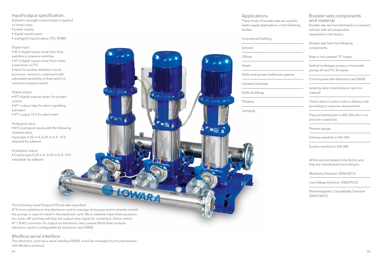The following Input/Output (I/O) are also specified:

N°3 micro switches on the electronic card to manage its by-pass and to directly control the pumps in case of a fault in the electronic card. Micro switches have three positions (on, auto, off) and they will skip the output relay signal for contactors' direct control. N° 1 RJ45 connector for output on electronic card. Lowara RILS6 (free contacts electronic card) is configurable by electronic card SM30.

LOWARA

#### Modbus serial interface.

The electronic card has a serial interface RS485. It will be managed by microprocessor with Modbus protocol.

#### Input/output specification.

Dielectric strength control board is applied on three sides:

- power supply
- digital input/output
- analogical input/output, CPU, RS485

These kinds of booster sets are use water supply applications, in the f facilitie.

#### Digital input

• N° 6 digital inputs come from float switches or pressure switches

• N° 3 digital inputs come from motor protections or PTC

• Input for probes detection circuit (common, minimum, maximum) with adjustable sensibility or float switch or minimum pressure switch.

#### Digital output

• N°3 digital outputs relays, for pumps control

- N°1 output relay for alarm signalling activation
- N°1 output 12 V for alarm siren

#### Analogical input

• N°2 analogical inputs with the following characteristics: Input type 0-20 m A, 4-20 m A, 0 -10 V selected by software

#### Analogical output

• Output type 0-20 m A, 4-20 m A, 0 -10 V selectable by software

Applications.

Commercial building

## Schools **Offices** Hotels Public and private healthcare syste Industrial premises

Public buildings

Theatres

Camping

 $\frac{1}{2}$ 

| sed for<br>ollowing | Booster sets components<br>and material.<br>Booster sets are manufactured in a compact<br>solution with all components<br>assembled in the factory. |
|---------------------|-----------------------------------------------------------------------------------------------------------------------------------------------------|
|                     | Booster sets have the following<br>components:                                                                                                      |
| ems                 | Base in iron painted " $\Omega$ " shape                                                                                                             |
|                     | Vertical multistage pumps or horizontal<br>pumps SV and FH, SH series                                                                               |
|                     | Control panel with electronic card SM30                                                                                                             |
|                     | Isolating valve nickel-brass or cast iron<br>material                                                                                               |
|                     | Check valve in suction side or delivery side<br>according to customer requirements                                                                  |
|                     | Pressure transducers in AISI 304 one in run<br>and one in stand-by                                                                                  |
|                     | Pressure gauge                                                                                                                                      |
|                     | Delivery manifold in AISI 304                                                                                                                       |

Suction manifold in AISI 304

All the sets are tested in the factory and they are manufactured according to:

Machinery Directive: 2006/42/CE

Low Voltage Directive: 2006/95/CE

Electromagnetic Compatibility Directive: 2004/108/CE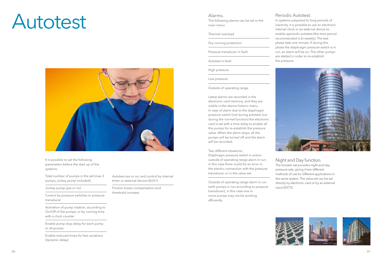## Autotest



It is possible to set the following parameters before the start up of the systems:

Total number of pumps in the set (max 3 pumps, jockey pump included)

Jockey pump (yes or no)

Control by pressure switches or pressure transducer

Activation of pump rotation, according to On/Off of the pumps, or by running time with a clock counter

Enable pump stop delay for each pump or all pumps

Enable reduced times for fast variations (dynamic delay)

Autotest yes or no, and control by internal timer or external device (AUX1)

Friction losses compensation and threshold increase

#### Alarms.

The following alarms can be set in the main menu:

#### Thermal overload

Dry running protection

Pressure transducer in fault

Autotest in fault

High pressure

Low pressure

Outside of operating range

Latest alarms are recorded in the electronic card memory, and they are visible in the alarms historic menu. In case of alarm due to the diaphragm pressure switch (not during autotest, but during the normal function) the electronic card is set with a time delay to enable all the pumps for re-establish the pressure value. When the alarm stops, all the pumps will be turned off and the alarm will be recorded.

Two different situations:

Diaphragm pressure switch in action outside of operating range alarm in run; in this case there could be an error in the electric connection with the pressure transducer, or in the value set.

Outside of operating range alarm in run (with pumps in run according to pressure transducer); in this case one or more pumps may not be working efficiently.



#### Periodic Autotest.

In systems subjected to long periods of inactivity, it is possible to use an electronic internal clock or an external device to enable aperiodic autotest (the time period recommended is bi-weekly). The test phase lasts one minute. If during this phase the diaphragm pressure switch is in run, an alarm will be on. The other pumps are started in order to re-establish



the pressure.

#### Night and Day function.

The booster set provides night and day pressure sets, giving it two different methods of use for different applications in the same system. The value set can be set directly by electronic card or by an external







input (EXT3).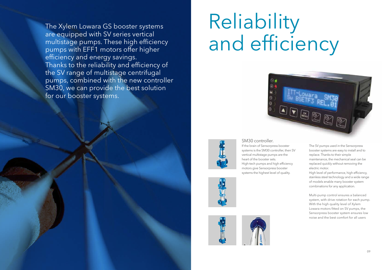# Reliability and efficiency





#### SM30 controller.

If the brain of Sensorpress booster systems is the SM30 controller, then SV vertical multistage pumps are the heart of the booster sets. High-tech pumps and high efficiency motors give Sensorpress booster systems the highest level of quality.







The SV pumps used in the Sensorpress booster systems are easy to install and to replace. Thanks to their simple maintenance, the mechanical seal can be replaced quickly without removing the electric motor.

High level of performance, high efficiency, stainless steel technology and a wide range of models enable many booster system combinations for any application.

Multi-pump control ensures a balanced system, with drive rotation for each pump. With the high quality level of Xylem Lowara motors fitted on SV pumps, the Sensorpress booster system ensures low noise and the best comfort for all users

The Xylem Lowara GS booster systems are equipped with SV series vertical multistage pumps. These high efficiency pumps with EFF1 motors offer higher efficiency and energy savings. Thanks to the reliability and efficiency of the SV range of multistage centrifugal pumps, combined with the new controller SM30, we can provide the best solution for our booster systems.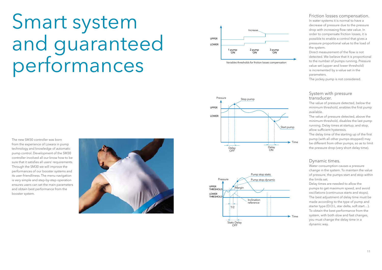# Smart system and guaranteed performances

#### Friction losses compensation.

In water systems it is normal to have a decrease of pressure due to the pressure drop with increasing flow rate value. In order to compensate friction losses, it is possible to enable a control that gives a pressure proportional value to the load of the system.

Direct measurement of the flow is not detected. We believe that it is proportional to the number of pumps running. Pressure value set (upper and lower threshold) is incremented by a value set in the parameters.

The jockey pump is not considered.

#### System with pressure transducer.

The value of pressure detected, below the minimum threshold, enables the first pump available.

The value of pressure detected, above the minimum threshold, disables the last pump running. Delay times at startup, and stop, allow sufficient hysteresis.

The delay time of the starting up of the first pump (with all other pumps stopped) may be different from other pumps, so as to limit the pressure drop (very short delay time).

Variables thresholds for friction losses compensation ON

#### Dynamic times.

Water consumption causes a pressure change in the system. To maintain the value of pressure, the pumps start and stop within the limits set.

Delay times are needed to allow the pumps to get maximum speed, and avoid oscillations (continuous starts and stops). The best adjustment of delay time must be made according to the type of pump and starter type (D.O.L, star delta, soft start…). To obtain the best performance from the system, with both slow and fast changes, you must change the delay time in a dynamic way.







Time

The new SM30 controller was born from the experience of Lowara in pump technology and knowledge of automatic pump control. Development of the SM30 controller involved all our know how to be sure that it satisfies all users' requirements. Through the SM30 we will improve the performances of our booster systems and its user-friendliness. The menu navigation is very simple and step-by-step operation ensures users can set the main parameters and obtain best performance from the booster system.